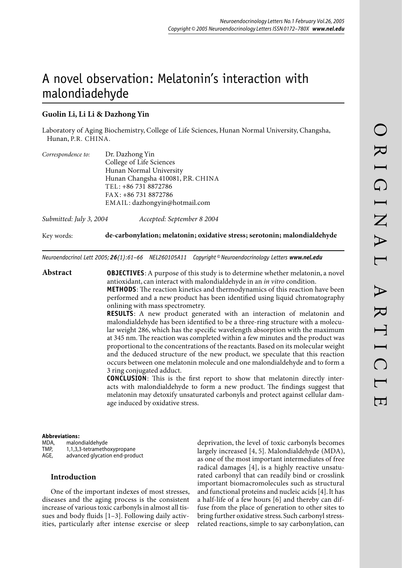# A novel observation: Melatonin's interaction with malondiadehyde

# **Guolin Li, Li Li & Dazhong Yin**

Laboratory of Aging Biochemistry, College of Life Sciences, Hunan Normal University, Changsha, Hunan, P.R. CHINA.

| Correspondence to: | Dr. Dazhong Yin                   |
|--------------------|-----------------------------------|
|                    | College of Life Sciences          |
|                    | Hunan Normal University           |
|                    | Hunan Changsha 410081, P.R. CHINA |
|                    | TEL: +86 731 8872786              |
|                    | FAX: +86 731 8872786              |
|                    | EMAIL: dazhongyin@hotmail.com     |
|                    |                                   |
|                    |                                   |

*Submitted: July 3, 2004 Accepted: September 8 2004*

Key words: **de-carbonylation ; melatonin ; oxidative stress ; serotonin ; malondialdehyde**

*Neuroendocrinol Lett 2005; 26(1):61–66 NEL260105A11 Copyright © Neuroendocrinology Letters www.nel.edu*

**Abstract OBJECTIVES**: A purpose of this study is to determine whether melatonin, a novel antioxidant, can interact with malondialdehyde in an *in vitro* condition. **METHODS**: The reaction kinetics and thermodynamics of this reaction have been performed and a new product has been identified using liquid chromatography onlining with mass spectrometry. **RESULTS:** A new product generated with an interaction of melatonin and malondialdehyde has been identified to be a three-ring structure with a molecu-

lar weight 286, which has the specific wavelength absorption with the maximum at 345 nm. The reaction was completed within a few minutes and the product was proportional to the concentrations of the reactants. Based on its molecular weight and the deduced structure of the new product, we speculate that this reaction occurs between one melatonin molecule and one malondialdehyde and to form a 3 ring conjugated adduct.

**CONCLUSION:** This is the first report to show that melatonin directly interacts with malondialdehyde to form a new product. The findings suggest that melatonin may detoxify unsaturated carbonyls and protect against cellular damage induced by oxidative stress.

#### **Abbreviations :**

MDA, malondialdehyde<br>TMP. 1.1.3.3-tetramethe 1,1,3,3-tetramethoxypropane AGE, advanced glycation end-product

### **Introduction**

One of the important indexes of most stresses, diseases and the aging process is the consistent increase of various toxic carbonyls in almost all tissues and body fluids [1–3]. Following daily activities, particularly after intense exercise or sleep deprivation, the level of toxic carbonyls becomes largely increased [4, 5]. Malondialdehyde (MDA), as one of the most important intermediates of free radical damages [4], is a highly reactive unsaturated carbonyl that can readily bind or crosslink important biomacromolecules such as structural and functional proteins and nucleic acids [4]. It has a half-life of a few hours [6] and thereby can diffuse from the place of generation to other sites to bring further oxidative stress. Such carbonyl stressrelated reactions, simple to say carbonylation, can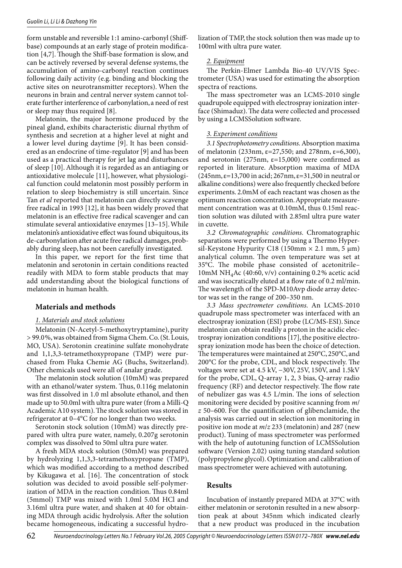form unstable and reversible 1:1 amino-carbonyl (Shiffbase) compounds at an early stage of protein modification  $[4,7]$ . Though the Shiff-base formation is slow, and can be actively reversed by several defense systems, the accumulation of amino-carbonyl reaction continues following daily activity (e.g. binding and blocking the active sites on neurotransmitter receptors). When the neurons in brain and central nerver system cannot tolerate further interference of carbonylation, a need of rest or sleep may thus required [8].

Melatonin, the major hormone produced by the pineal gland, exhibits characteristic diurnal rhythm of synthesis and secretion at a higher level at night and a lower level during daytime [9]. It has been considered as an endocrine of time-regulator [9] and has been used as a practical therapy for jet lag and disturbances of sleep [10]. Although it is regarded as an antiaging or antioxidative molecule [11], however, what physiological function could melatonin most possibly perform in relation to sleep biochemistry is still uncertain. Since Tan *et al* reported that melatonin can directly scavenge free radical in 1993 [12], it has been widely proved that melatonin is an effective free radical scavenger and can stimulate several antioxidative enzymes [13–15]. While melatonin's antioxidative effect was found ubiquitous, its de-carbonylation after acute free radical damages, probably during sleep, has not been carefully investigated.

In this paper, we report for the first time that melatonin and serotonin in certain conditions reacted readily with MDA to form stable products that may add understanding about the biological functions of melatonin in human health.

## **Materials and methods**

# *1. Materials and stock solutions*

Melatonin (N-Acetyl-5-methoxytryptamine), purity > 99.0 %, was obtained from Sigma Chem. Co. (St. Louis, MO, USA). Serotonin creatinine sulfate monohydrate and 1,1,3,3-tetramethoxypropane (TMP) were purchased from Fluka Chemie AG (Buchs, Switzerland). Other chemicals used were all of analar grade.

The melatonin stock solution (10mM) was prepared with an ethanol/water system. Thus, 0.116g melatonin was first dissolved in 1.0 ml absolute ethanol, and then made up to 50.0ml with ultra pure water (from a Milli-Q Academic A10 system). The stock solution was stored in refrigerator at 0–4°C for no longer than two weeks.

Serotonin stock solution (10mM) was directly prepared with ultra pure water, namely, 0.207g serotonin complex was dissolved to 50ml ultra pure water.

A fresh MDA stock solution (50mM) was prepared by hydrolyzing 1,1,3,3-tetramethoxypropane (TMP), which was modified according to a method described by Kikugawa et al. [16]. The concentration of stock solution was decided to avoid possible self-polymerization of MDA in the reaction condition. Thus 0.84ml (5mmol) TMP was mixed with 1.0ml 5.0M HCl and 3.16ml ultra pure water, and shaken at 40 for obtaining MDA through acidic hydrolysis. After the solution became homogeneous, indicating a successful hydrolization of TMP, the stock solution then was made up to 100ml with ultra pure water.

#### *2. Equipment*

The Perkin-Elmer Lambda Bio-40 UV/VIS Spectrometer (USA) was used for estimating the absorption spectra of reactions.

The mass spectrometer was an LCMS-2010 single quadrupole equipped with electrospray ionization interface (Shimaduz). The data were collected and processed by using a LCMSSolution software.

#### *3. Experiment conditions*

*3.1 Spectrophotometry conditions.* Absorption maxima of melatonin (233nm,  $\varepsilon = 27,550$ ; and 278nm,  $\varepsilon = 6,300$ ), and serotonin (275nm,  $\varepsilon$ =15,000) were confirmed as reported in literature. Absorption maxima of MDA  $(245nm, \epsilon=13,700 \text{ in acid}; 267nm, \epsilon=31,500 \text{ in neutral or}$ alkaline conditions) were also frequently checked before experiments. 2.0mM of each reactant was chosen as the optimum reaction concentration. Appropriate measurement concentration was at 0.10mM, thus 0.15ml reaction solution was diluted with 2.85ml ultra pure water in cuvette.

*3.2 Chromatographic conditions.* Chromatographic separations were performed by using a Thermo Hypersil-Keystone Hypurity C18 (150mm  $\times$  2.1 mm, 5  $\mu$ m) analytical column. The oven temperature was set at 35°C. The mobile phase consisted of acetonitrile-10mM NH<sub>4</sub>Ac (40:60, v/v) containing 0.2% acetic acid and was isocratically eluted at a flow rate of 0.2 ml/min. The wavelength of the SPD-M10Avp diode array detector was set in the range of 200–350 nm.

*3.3 Mass spectrometer conditions.* An LCMS-2010 quadrupole mass spectrometer was interfaced with an electrospray ionization (ESI) probe (LC/MS-ESI). Since melatonin can obtain readily a proton in the acidic electrospray ionization conditions [17], the positive electrospray ionization mode has been the choice of detection. The temperatures were maintained at  $250^{\circ}$ C,  $250^{\circ}$ C, and  $200^{\circ}$ C for the probe, CDL, and block respectively. The voltages were set at 4.5 kV, −30V, 25V, 150V, and 1.5kV for the probe, CDL, Q-array 1, 2, 3 bias, Q-array radio frequency (RF) and detector respectively. The flow rate of nebulizer gas was 4.5 L/min. The ions of selection monitoring were decided by positive scanning from *m*/ *z* 50–600. For the quantification of glibenclamide, the analysis was carried out in selection ion monitoring in positive ion mode at *m*/*z* 233 (melatonin) and 287 (new product). Tuning of mass spectrometer was performed with the help of autotuning function of LCMSSolution software (Version 2.02) using tuning standard solution (polypropylene glycol). Optimization and calibration of mass spectrometer were achieved with autotuning.

# **Results**

Incubation of instantly prepared MDA at 37°C with either melatonin or serotonin resulted in a new absorption peak at about 345nm which indicated clearly that a new product was produced in the incubation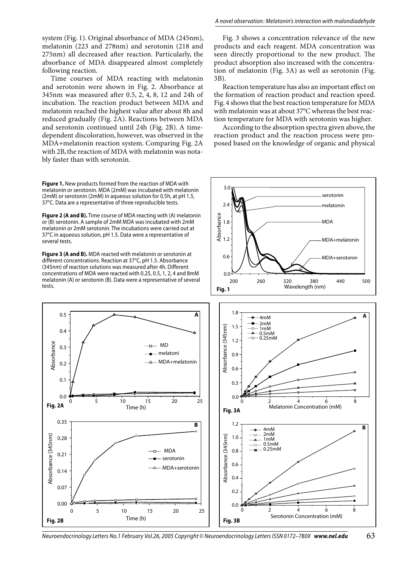system (Fig. 1). Original absorbance of MDA (245nm), melatonin (223 and 278nm) and serotonin (218 and 275nm) all decreased after reaction. Particularly, the absorbance of MDA disappeared almost completely following reaction.

Time courses of MDA reacting with melatonin and serotonin were shown in Fig. 2. Absorbance at 345nm was measured after 0.5, 2, 4, 8, 12 and 24h of incubation. The reaction product between MDA and melatonin reached the highest value after about 8h and reduced gradually (Fig. 2A). Reactions between MDA and serotonin continued until 24h (Fig. 2B). A timedependent discoloration, however, was observed in the MDA+melatonin reaction system. Comparing Fig. 2A with 2B, the reaction of MDA with melatonin was notably faster than with serotonin.

Figure 1. New products formed from the reaction of MDA with melatonin or serotonin. MDA (2mM) was incubated with melatonin (2mM) or serotonin (2mM) in aqueous solution for 0.5h, at pH 1.5, 37°C. Data are a representative of three reproducible tests.

Figure 2 (A and B). Time course of MDA reacting with (A) melatonin or (B) serotonin. A sample of 2mM MDA was incubated with 2mM melatonin or 2mM serotonin. The incubations were carried out at 37°C in aqueous solution, pH 1.5. Data were a representative of several tests.

Figure 3 (A and B). MDA reacted with melatonin or serotonin at different concentrations. Reaction at 37°C, pH 1.5. Absorbance (345nm) of reaction solutions was measured after 4h. Different concentrations of MDA were reacted with 0.25, 0.5, 1, 2, 4 and 8mM melatonin (A) or serotonin (B). Data were a representative of several tests.

 $10$ 

 $10$ 

Time (h)

 $\overline{5}$ 

5

 $15$ 

15

Time (h)

 $MD$ 

melatoni

 $20$ 

**MDA** 

20

 $0.5$ 

 $0.4$ 

 $0.3$ 

 $0.2$ 

 $0.1$ 

 $0.<sub>C</sub>$ 

0.35

 $0.28$ 

 $0.21$ 

 $0.14$ 

0.07

 $0.00$ 

Fig. 2B

 $\Omega$ 

Fig. 2A

Absorbance (345nm)

Absorbance

Fig. 3 shows a concentration relevance of the new products and each reagent. MDA concentration was seen directly proportional to the new product. The product absorption also increased with the concentration of melatonin (Fig. 3A) as well as serotonin (Fig. 3B).

Reaction temperature has also an important effect on the formation of reaction product and reaction speed. Fig. 4 shows that the best reaction temperature for MDA with melatonin was at about 37°C whereas the best reaction temperature for MDA with serotonin was higher.

According to the absorption spectra given above, the reaction product and the reaction process were proposed based on the knowledge of organic and physical



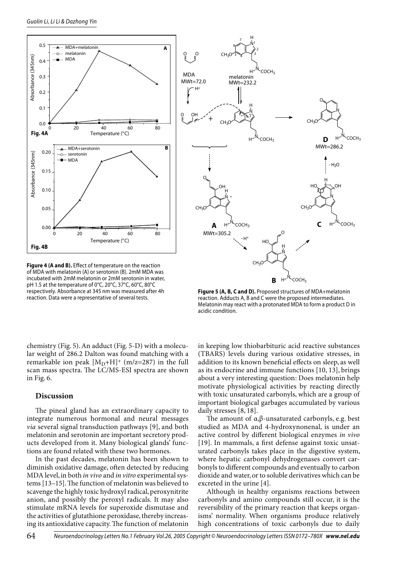

Figure 4 (A and B). Effect of temperature on the reaction of MDA with melatonin (A) or serotonin (B). 2mM MDA was incubated with 2mM melatonin or 2mM serotonin in water, pH 1.5 at the temperature of 0°C, 20°C, 37°C, 60°C, 80°C respectively. Absorbance at 345 nm was measured after 4h reaction. Data were a representative of several tests.



Figure 5 (A, B, C and D). Proposed structures of MDA+melatonin reaction. Adducts A, B and C were the proposed intermediates. Melatonin may react with a protonated MDA to form a product D in acidic condition.

chemistry (Fig. 5). An adduct (Fig. 5-D) with a molecular weight of 286.2 Dalton was found matching with a remarkable ion peak  $[M_D+H]^+$  (m/z=287) in the full scan mass spectra. The LC/MS-ESI spectra are shown in Fig.  $6$ .

# Discussion

The pineal gland has an extraordinary capacity to integrate numerous hormonal and neural messages via several signal transduction pathways [9], and both melatonin and serotonin are important secretory products developed from it. Many biological glands' functions are found related with these two hormones.

In the past decades, melatonin has been shown to diminish oxidative damage, often detected by reducing MDA level, in both in vivo and in vitro experimental systems [13-15]. The function of melatonin was believed to scavenge the highly toxic hydroxyl radical, peroxynitrite anion, and possibly the peroxyl radicals. It may also stimulate mRNA levels for superoxide dismutase and the activities of glutathione peroxidase, thereby increasing its antioxidative capacity. The function of melatonin in keeping low thiobarbituric acid reactive substances (TBARS) levels during various oxidative stresses, in addition to its known beneficial effects on sleep, as well as its endocrine and immune functions [10, 13], brings about a very interesting question: Does melatonin help motivate physiological activities by reacting directly with toxic unsaturated carbonyls, which are a group of important biological garbages accumulated by various daily stresses [8, 18].

The amount of  $\alpha$ ,  $\beta$ -unsaturated carbonyls, e.g. best studied as MDA and 4-hydroxynonenal, is under an active control by different biological enzymes in vivo [19]. In mammals, a first defense against toxic unsaturated carbonyls takes place in the digestive system, where hepatic carbonyl dehydrogenases convert carbonyls to different compounds and eventually to carbon dioxide and water, or to soluble derivatives which can be excreted in the urine [4].

Although in healthy organisms reactions between carbonyls and amino compounds still occur, it is the reversibility of the primary reaction that keeps organisms' normality. When organisms produce relatively high concentrations of toxic carbonyls due to daily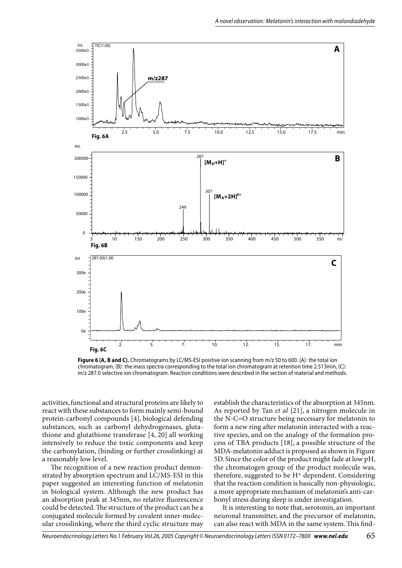

Figure 6 (A, B and C). Chromatograms by LC/MS-ESI positive ion scanning from m/z 50 to 600. (A): the total ion chromatogram, (B): the mass spectra corresponding to the total ion chromatogram at retention time 2.513min, (C): m/z 287.0 selective ion chromatogram. Reaction conditions were described in the section of material and methods.

activities, functional and structural proteins are likely to react with these substances to form mainly semi-bound protein-carbonyl compounds [4], biological defending substances, such as carbonyl dehydrogenases, glutathione and glutathione transferase [4, 20] all working intensively to reduce the toxic components and keep the carbonylation, (binding or further crosslinking) at a reasonably low level.

The recognition of a new reaction product demonstrated by absorption spectrum and LC/MS-ESI in this paper suggested an interesting function of melatonin in biological system. Although the new product has an absorption peak at 345nm, no relative fluorescence could be detected. The structure of the product can be a conjugated molecule formed by covalent inner-molecular crosslinking, where the third cyclic structure may establish the characteristics of the absorption at 345nm. As reported by Tan et al [21], a nitrogen molecule in the N-C=O structure being necessary for melatonin to form a new ring after melatonin interacted with a reactive species, and on the analogy of the formation process of TBA products [18], a possible structure of the MDA-melatonin adduct is proposed as shown in Figure 5D. Since the color of the product might fade at low pH, the chromatogen group of the product molecule was, therefore, suggested to be H<sup>+</sup> dependent. Considering that the reaction condition is basically non-physiologic, a more appropriate mechanism of melatonin's anti-carbonyl stress during sleep is under investigation.

It is interesting to note that, serotonin, an important neuronal transmitter, and the precursor of melatonin, can also react with MDA in the same system. This find